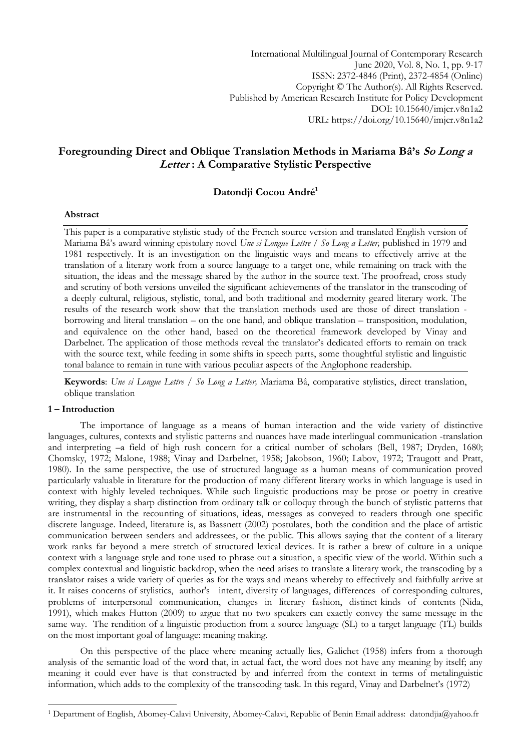International Multilingual Journal of Contemporary Research June 2020, Vol. 8, No. 1, pp. 9-17 ISSN: 2372-4846 (Print), 2372-4854 (Online) Copyright © The Author(s). All Rights Reserved. Published by American Research Institute for Policy Development DOI: 10.15640/imjcr.v8n1a2 URL: https://doi.org/10.15640/imjcr.v8n1a2

# **Foregrounding Direct and Oblique Translation Methods in Mariama Bâ's So Long a Letter : A Comparative Stylistic Perspective**

## **Datondji Cocou André<sup>1</sup>**

#### **Abstract**

This paper is a comparative stylistic study of the French source version and translated English version of Mariama Bâ"s award winning epistolary novel *Une si Longue Lettre / So Long a Letter,* published in 1979 and 1981 respectively. It is an investigation on the linguistic ways and means to effectively arrive at the translation of a literary work from a source language to a target one, while remaining on track with the situation, the ideas and the message shared by the author in the source text. The proofread, cross study and scrutiny of both versions unveiled the significant achievements of the translator in the transcoding of a deeply cultural, religious, stylistic, tonal, and both traditional and modernity geared literary work. The results of the research work show that the translation methods used are those of direct translation borrowing and literal translation – on the one hand, and oblique translation – transposition, modulation, and equivalence on the other hand, based on the theoretical framework developed by Vinay and Darbelnet. The application of those methods reveal the translator's dedicated efforts to remain on track with the source text, while feeding in some shifts in speech parts, some thoughtful stylistic and linguistic tonal balance to remain in tune with various peculiar aspects of the Anglophone readership.

**Keywords**: *Une si Longue Lettre / So Long a Letter,* Mariama Bâ, comparative stylistics, direct translation, oblique translation

### **1 – Introduction**

**.** 

The importance of language as a means of human interaction and the wide variety of distinctive languages, cultures, contexts and stylistic patterns and nuances have made interlingual communication -translation and interpreting –a field of high rush concern for a critical number of scholars (Bell, 1987; Dryden, 1680; Chomsky, 1972; Malone, 1988; Vinay and Darbelnet, 1958; Jakobson, 1960; Labov, 1972; Traugott and Pratt, 1980). In the same perspective, the use of structured language as a human means of communication proved particularly valuable in literature for the production of many different literary works in which language is used in context with highly leveled techniques. While such linguistic productions may be prose or poetry in creative writing, they display a sharp distinction from ordinary talk or colloquy through the bunch of stylistic patterns that are instrumental in the recounting of situations, ideas, messages as conveyed to readers through one specific discrete language. Indeed, literature is, as Bassnett (2002) postulates, both the condition and the place of artistic communication between senders and addressees, or the public. This allows saying that the content of a literary work ranks far beyond a mere stretch of structured lexical devices. It is rather a brew of culture in a unique context with a language style and tone used to phrase out a situation, a specific view of the world. Within such a complex contextual and linguistic backdrop, when the need arises to translate a literary work, the transcoding by a translator raises a wide variety of queries as for the ways and means whereby to effectively and faithfully arrive at it. It raises concerns of stylistics, author's intent, diversity of languages, differences of corresponding cultures, problems of interpersonal communication, changes in literary fashion, distinct kinds of contents (Nida, 1991), which makes Hutton (2009) to argue that no two speakers can exactly convey the same message in the same way. The rendition of a linguistic production from a source language (SL) to a target language (TL) builds on the most important goal of language: meaning making.

On this perspective of the place where meaning actually lies, Galichet (1958) infers from a thorough analysis of the semantic load of the word that, in actual fact, the word does not have any meaning by itself; any meaning it could ever have is that constructed by and inferred from the context in terms of metalinguistic information, which adds to the complexity of the transcoding task. In this regard, Vinay and Darbelnet's (1972)

<sup>1</sup> Department of English, Abomey-Calavi University, Abomey-Calavi, Republic of Benin Email address: datondjia@yahoo.fr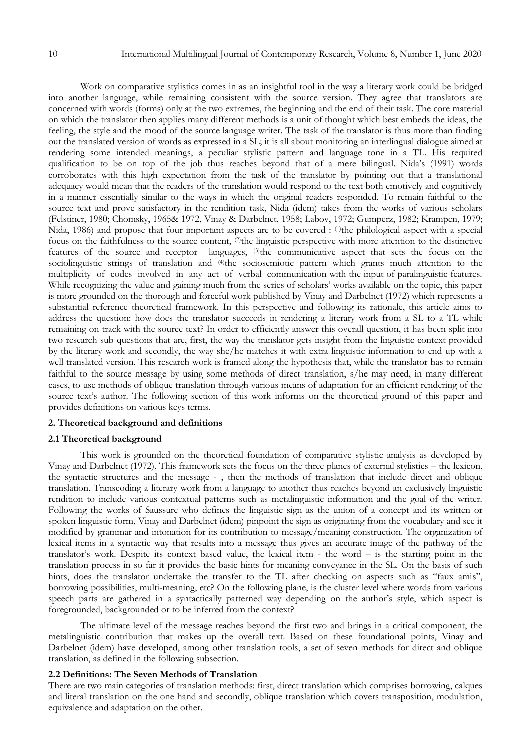Work on comparative stylistics comes in as an insightful tool in the way a literary work could be bridged into another language, while remaining consistent with the source version. They agree that translators are concerned with words (forms) only at the two extremes, the beginning and the end of their task. The core material on which the translator then applies many different methods is a unit of thought which best embeds the ideas, the feeling, the style and the mood of the source language writer. The task of the translator is thus more than finding out the translated version of words as expressed in a SL; it is all about monitoring an interlingual dialogue aimed at rendering some intended meanings, a peculiar stylistic pattern and language tone in a TL. His required qualification to be on top of the job thus reaches beyond that of a mere bilingual. Nida"s (1991) words corroborates with this high expectation from the task of the translator by pointing out that a translational adequacy would mean that the readers of the translation would respond to the text both emotively and cognitively in a manner essentially similar to the ways in which the original readers responded. To remain faithful to the source text and prove satisfactory in the rendition task, Nida (idem) takes from the works of various scholars (Felstiner, 1980; Chomsky, 1965& 1972, Vinay & Darbelnet, 1958; Labov, 1972; Gumperz, 1982; Krampen, 1979; Nida, 1986) and propose that four important aspects are to be covered : <sup>(1)</sup>the philological aspect with a special focus on the faithfulness to the source content, <sup>(2)</sup>the linguistic perspective with more attention to the distinctive features of the source and receptor languages, (3)the communicative aspect that sets the focus on the sociolinguistic strings of translation and <sup>(4)</sup>the sociosemiotic pattern which grants much attention to the multiplicity of codes involved in any act of verbal communication with the input of paralinguistic features. While recognizing the value and gaining much from the series of scholars' works available on the topic, this paper is more grounded on the thorough and forceful work published by Vinay and Darbelnet (1972) which represents a substantial reference theoretical framework. In this perspective and following its rationale, this article aims to address the question: how does the translator succeeds in rendering a literary work from a SL to a TL while remaining on track with the source text? In order to efficiently answer this overall question, it has been split into two research sub questions that are, first, the way the translator gets insight from the linguistic context provided by the literary work and secondly, the way she/he matches it with extra linguistic information to end up with a well translated version. This research work is framed along the hypothesis that, while the translator has to remain faithful to the source message by using some methods of direct translation, s/he may need, in many different cases, to use methods of oblique translation through various means of adaptation for an efficient rendering of the source text's author. The following section of this work informs on the theoretical ground of this paper and provides definitions on various keys terms.

#### **2. Theoretical background and definitions**

#### **2.1 Theoretical background**

This work is grounded on the theoretical foundation of comparative stylistic analysis as developed by Vinay and Darbelnet (1972). This framework sets the focus on the three planes of external stylistics – the lexicon, the syntactic structures and the message - , then the methods of translation that include direct and oblique translation. Transcoding a literary work from a language to another thus reaches beyond an exclusively linguistic rendition to include various contextual patterns such as metalinguistic information and the goal of the writer. Following the works of Saussure who defines the linguistic sign as the union of a concept and its written or spoken linguistic form, Vinay and Darbelnet (idem) pinpoint the sign as originating from the vocabulary and see it modified by grammar and intonation for its contribution to message/meaning construction. The organization of lexical items in a syntactic way that results into a message thus gives an accurate image of the pathway of the translator"s work. Despite its context based value, the lexical item - the word – is the starting point in the translation process in so far it provides the basic hints for meaning conveyance in the SL. On the basis of such hints, does the translator undertake the transfer to the TL after checking on aspects such as "faux amis", borrowing possibilities, multi-meaning, etc? On the following plane, is the cluster level where words from various speech parts are gathered in a syntactically patterned way depending on the author's style, which aspect is foregrounded, backgrounded or to be inferred from the context?

The ultimate level of the message reaches beyond the first two and brings in a critical component, the metalinguistic contribution that makes up the overall text. Based on these foundational points, Vinay and Darbelnet (idem) have developed, among other translation tools, a set of seven methods for direct and oblique translation, as defined in the following subsection.

#### **2.2 Definitions: The Seven Methods of Translation**

There are two main categories of translation methods: first, direct translation which comprises borrowing, calques and literal translation on the one hand and secondly, oblique translation which covers transposition, modulation, equivalence and adaptation on the other.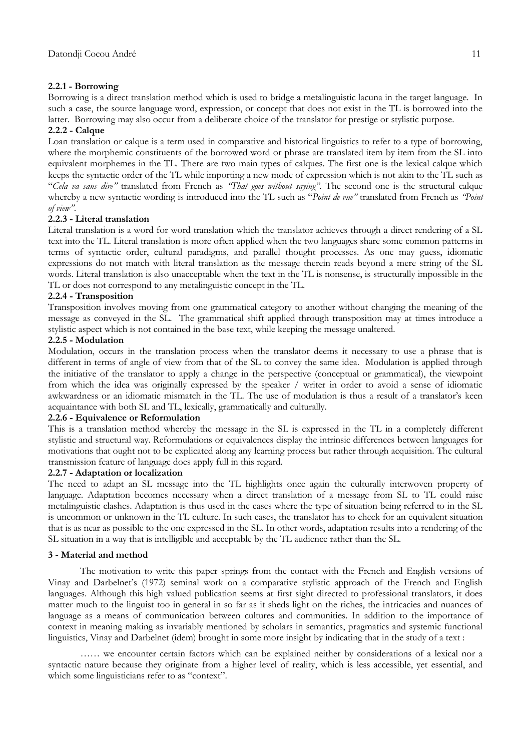### **2.2.1 - Borrowing**

Borrowing is a direct translation method which is used to bridge a metalinguistic lacuna in the target language. In such a case, the source language word, expression, or concept that does not exist in the TL is borrowed into the latter. Borrowing may also occur from a deliberate choice of the translator for prestige or stylistic purpose.

### **2.2.2 - Calque**

Loan translation or calque is a term used in comparative and historical linguistics to refer to a type of borrowing, where the morphemic constituents of the borrowed word or phrase are translated item by item from the SL into equivalent morphemes in the TL. There are two main types of calques. The first one is the lexical calque which keeps the syntactic order of the TL while importing a new mode of expression which is not akin to the TL such as "*Cela va sans dire"* translated from French as *"That goes without saying".* The second one is the structural calque whereby a new syntactic wording is introduced into the TL such as "*Point de vue"* translated from French as *"Point of view"*.

#### **2.2.3 - Literal translation**

Literal translation is a word for word translation which the translator achieves through a direct rendering of a SL text into the TL. Literal translation is more often applied when the two languages share some common patterns in terms of syntactic order, cultural paradigms, and parallel thought processes. As one may guess, idiomatic expressions do not match with literal translation as the message therein reads beyond a mere string of the SL words. Literal translation is also unacceptable when the text in the TL is nonsense, is structurally impossible in the TL or does not correspond to any metalinguistic concept in the TL.

## **2.2.4 - Transposition**

Transposition involves moving from one grammatical category to another without changing the meaning of the message as conveyed in the SL. The grammatical shift applied through transposition may at times introduce a stylistic aspect which is not contained in the base text, while keeping the message unaltered.

#### **2.2.5 - Modulation**

Modulation, occurs in the translation process when the translator deems it necessary to use a phrase that is different in terms of angle of view from that of the SL to convey the same idea. Modulation is applied through the initiative of the translator to apply a change in the perspective (conceptual or grammatical), the viewpoint from which the idea was originally expressed by the speaker / writer in order to avoid a sense of idiomatic awkwardness or an idiomatic mismatch in the TL. The use of modulation is thus a result of a translator's keen acquaintance with both SL and TL, lexically, grammatically and culturally.

#### **2.2.6 - Equivalence or Reformulation**

This is a translation method whereby the message in the SL is expressed in the TL in a completely different stylistic and structural way. Reformulations or equivalences display the intrinsic differences between languages for motivations that ought not to be explicated along any learning process but rather through acquisition. The cultural transmission feature of language does apply full in this regard.

#### **2.2.7 - Adaptation or localization**

The need to adapt an SL message into the TL highlights once again the culturally interwoven property of language. Adaptation becomes necessary when a direct translation of a message from SL to TL could raise metalinguistic clashes. Adaptation is thus used in the cases where the type of situation being referred to in the SL is uncommon or unknown in the TL culture. In such cases, the translator has to check for an equivalent situation that is as near as possible to the one expressed in the SL. In other words, adaptation results into a rendering of the SL situation in a way that is intelligible and acceptable by the TL audience rather than the SL.

#### **3 - Material and method**

The motivation to write this paper springs from the contact with the French and English versions of Vinay and Darbelnet"s (1972) seminal work on a comparative stylistic approach of the French and English languages. Although this high valued publication seems at first sight directed to professional translators, it does matter much to the linguist too in general in so far as it sheds light on the riches, the intricacies and nuances of language as a means of communication between cultures and communities. In addition to the importance of context in meaning making as invariably mentioned by scholars in semantics, pragmatics and systemic functional linguistics, Vinay and Darbelnet (idem) brought in some more insight by indicating that in the study of a text :

…… we encounter certain factors which can be explained neither by considerations of a lexical nor a syntactic nature because they originate from a higher level of reality, which is less accessible, yet essential, and which some linguisticians refer to as "context".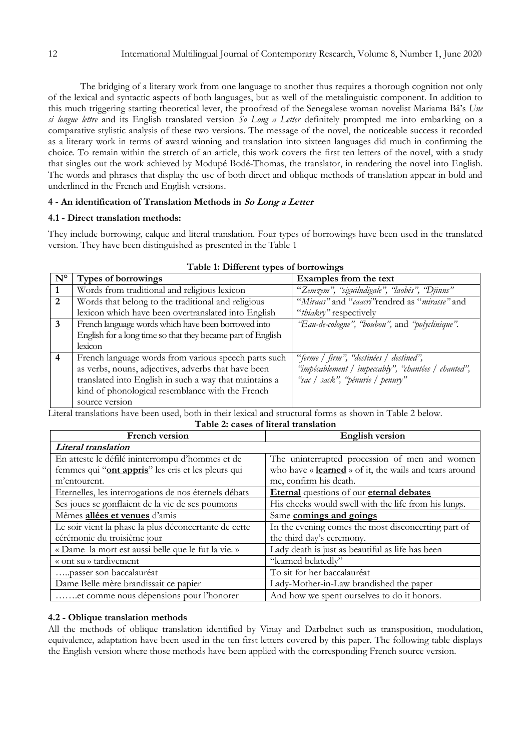The bridging of a literary work from one language to another thus requires a thorough cognition not only of the lexical and syntactic aspects of both languages, but as well of the metalinguistic component. In addition to this much triggering starting theoretical lever, the proofread of the Senegalese woman novelist Mariama Bâ"s *Une si longue lettre* and its English translated version *So Long a Letter* definitely prompted me into embarking on a comparative stylistic analysis of these two versions. The message of the novel, the noticeable success it recorded as a literary work in terms of award winning and translation into sixteen languages did much in confirming the choice. To remain within the stretch of an article, this work covers the first ten letters of the novel, with a study that singles out the work achieved by Modupé Bodé-Thomas, the translator, in rendering the novel into English. The words and phrases that display the use of both direct and oblique methods of translation appear in bold and underlined in the French and English versions.

## **4 - An identification of Translation Methods in So Long a Letter**

## **4.1 - Direct translation methods:**

They include borrowing, calque and literal translation. Four types of borrowings have been used in the translated version. They have been distinguished as presented in the Table 1

| $\mathbf{N}^{\mathsf{o}}$ | Types of borrowings                                         | Examples from the text                              |  |
|---------------------------|-------------------------------------------------------------|-----------------------------------------------------|--|
|                           | Words from traditional and religious lexicon                | "Zemzem", "siguilndigale", "laobés", "Djinns"       |  |
| 2                         | Words that belong to the traditional and religious          | "Miraas" and "caacri" rendred as "mirasse" and      |  |
|                           | lexicon which have been overtranslated into English         | "thiakry" respectively                              |  |
| 3                         | French language words which have been borrowed into         | "Eau-de-cologne", "boubou", and "polyclinique".     |  |
|                           | English for a long time so that they became part of English |                                                     |  |
|                           | lexicon                                                     |                                                     |  |
| $\overline{4}$            | French language words from various speech parts such        | "ferme / firm", "destinées / destined",             |  |
|                           | as verbs, nouns, adjectives, adverbs that have been         | "impécablement / impeccably", "chantées / chanted", |  |
|                           | translated into English in such a way that maintains a      | "sac / sack", "pénurie / penury"                    |  |
|                           | kind of phonological resemblance with the French            |                                                     |  |
|                           | source version                                              |                                                     |  |

| Table 1: Different types of borrowings |  |  |  |
|----------------------------------------|--|--|--|
|----------------------------------------|--|--|--|

Literal translations have been used, both in their lexical and structural forms as shown in Table 2 below. **Table 2: cases of literal translation**

| <b>French version</b>                                 | <b>English version</b>                                 |  |
|-------------------------------------------------------|--------------------------------------------------------|--|
| Literal translation                                   |                                                        |  |
| En atteste le défilé ininterrompu d'hommes et de      | The uninterrupted procession of men and women          |  |
| femmes qui "ont appris" les cris et les pleurs qui    | who have « learned » of it, the wails and tears around |  |
| m'entourent.                                          | me, confirm his death.                                 |  |
| Eternelles, les interrogations de nos éternels débats | Eternal questions of our eternal debates               |  |
| Ses joues se gonflaient de la vie de ses poumons      | His cheeks would swell with the life from his lungs.   |  |
| Mêmes allées et venues d'amis                         | Same comings and goings                                |  |
| Le soir vient la phase la plus déconcertante de cette | In the evening comes the most disconcerting part of    |  |
| cérémonie du troisième jour                           | the third day's ceremony.                              |  |
| « Dame la mort est aussi belle que le fut la vie. »   | Lady death is just as beautiful as life has been       |  |
| « ont su » tardivement                                | "learned belatedly"                                    |  |
| passer son baccalauréat                               | To sit for her baccalauréat                            |  |
| Dame Belle mère brandissait ce papier                 | Lady-Mother-in-Law brandished the paper                |  |
| et comme nous dépensions pour l'honorer               | And how we spent ourselves to do it honors.            |  |

## **4.2 - Oblique translation methods**

All the methods of oblique translation identified by Vinay and Darbelnet such as transposition, modulation, equivalence, adaptation have been used in the ten first letters covered by this paper. The following table displays the English version where those methods have been applied with the corresponding French source version.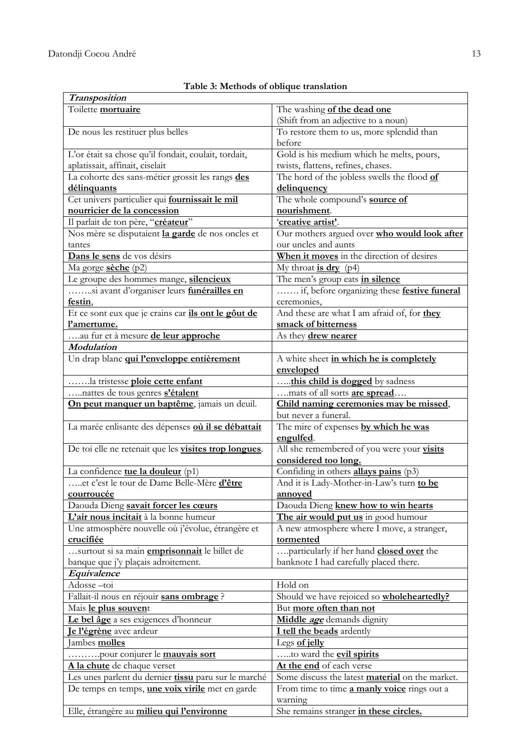| <b>Transposition</b>                                   |                                                        |  |
|--------------------------------------------------------|--------------------------------------------------------|--|
| Toilette mortuaire                                     | The washing of the dead one                            |  |
|                                                        | (Shift from an adjective to a noun)                    |  |
| De nous les restituer plus belles                      | To restore them to us, more splendid than              |  |
|                                                        | before                                                 |  |
| L'or était sa chose qu'il fondait, coulait, tordait,   | Gold is his medium which he melts, pours,              |  |
| aplatissait, affinait, ciselait                        | twists, flattens, refines, chases.                     |  |
| La cohorte des sans-métier grossit les rangs des       | The hord of the jobless swells the flood of            |  |
| délinquants                                            | delinquency                                            |  |
| Cet univers particulier qui fournissait le mil         | The whole compound's source of                         |  |
| nourricier de la concession                            | nourishment.                                           |  |
| Il parlait de ton père, "créateur"                     | 'creative artist'.                                     |  |
| Nos mère se disputaient la garde de nos oncles et      | Our mothers argued over who would look after           |  |
| tantes                                                 | our uncles and aunts                                   |  |
| Dans le sens de vos désirs                             | When it moves in the direction of desires              |  |
| Ma gorge sèche (p2)                                    | My throat $\underline{\textbf{is dry}}$ (p4)           |  |
| Le groupe des hommes mange, silencieux                 | The men's group eats <i>in silence</i>                 |  |
| si avant d'organiser leurs funérailles en              | if, before organizing these festive funeral            |  |
| festin,                                                | ceremonies,                                            |  |
| Et ce sont eux que je crains car ils ont le gôut de    | And these are what I am afraid of, for they            |  |
| l'amertume.                                            | smack of bitterness                                    |  |
| au fur et à mesure de leur approche<br>Modulation      | As they <b>drew nearer</b>                             |  |
| Un drap blanc qui l'enveloppe entièrement              | A white sheet in which he is completely                |  |
|                                                        | enveloped                                              |  |
| la tristesse ploie cette enfant                        | this child is dogged by sadness                        |  |
| nattes de tous genres s'étalent                        | mats of all sorts <b>are spread</b>                    |  |
| On peut manquer un baptême, jamais un deuil.           | Child naming ceremonies may be missed,                 |  |
|                                                        | but never a funeral.                                   |  |
| La marée enlisante des dépenses où il se débattait     | The mire of expenses by which he was                   |  |
|                                                        | engulfed.                                              |  |
| De toi elle ne retenait que les visites trop longues.  | All she remembered of you were your visits             |  |
|                                                        | considered too long.                                   |  |
| La confidence tue la douleur (p1)                      | Confiding in others <b>allays pains</b> (p3)           |  |
| et c'est le tour de Dame Belle-Mère d'être             | And it is Lady-Mother-in-Law's turn to be              |  |
| courroucée                                             | annoyed                                                |  |
| Daouda Dieng savait forcer les cœurs                   | Daouda Dieng knew how to win hearts                    |  |
| L'air nous incitait à la bonne humeur                  | The air would put us in good humour                    |  |
| Une atmosphère nouvelle où j'évolue, étrangère et      | A new atmosphere where I move, a stranger,             |  |
| crucifiée                                              | tormented                                              |  |
| surtout si sa main <i>emprisonnait</i> le billet de    | particularly if her hand <b>closed over</b> the        |  |
| banque que j'y plaçais adroitement.<br>Equivalence     | banknote I had carefully placed there.                 |  |
| Adosse-toi                                             | Hold on                                                |  |
| Fallait-il nous en réjouir sans ombrage ?              | Should we have rejoiced so wholeheartedly?             |  |
| Mais le plus souvent                                   | But more often than not                                |  |
| Le bel âge a ses exigences d'honneur                   | Middle <i>age</i> demands dignity                      |  |
| Je l'égrène avec ardeur                                | I tell the beads ardently                              |  |
| Jambes molles                                          | Legs of jelly                                          |  |
| pour conjurer le mauvais sort                          | to ward the <b>evil spirits</b>                        |  |
| A la chute de chaque verset                            | At the end of each verse                               |  |
| Les unes parlent du dernier tissu paru sur le marché   | Some discuss the latest <b>material</b> on the market. |  |
| De temps en temps, <i>une voix virile</i> met en garde | From time to time <b>a manly voice</b> rings out a     |  |
|                                                        | warning                                                |  |
| Elle, étrangère au milieu qui l'environne              | She remains stranger in these circles.                 |  |

# **Table 3: Methods of oblique translation**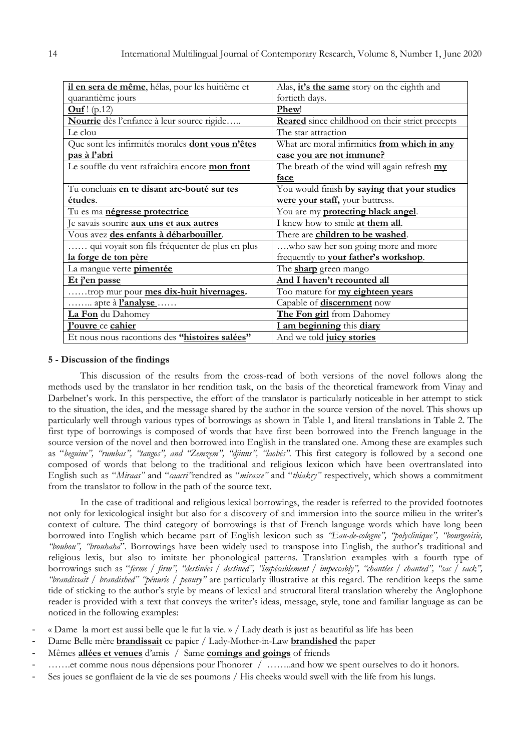| il en sera de même, hélas, pour les huitième et    | Alas, <i>it's</i> the same story on the eighth and     |  |  |
|----------------------------------------------------|--------------------------------------------------------|--|--|
| quarantième jours                                  | fortieth days.                                         |  |  |
| <b>Ouf</b> ! $(p.12)$                              | Phew!                                                  |  |  |
| Nourrie dès l'enfance à leur source rigide         | <b>Reared</b> since childhood on their strict precepts |  |  |
| Le clou                                            | The star attraction                                    |  |  |
| Que sont les infirmités morales dont vous n'êtes   | What are moral infirmities from which in any           |  |  |
| pas à l'abri                                       | case you are not immune?                               |  |  |
| Le souffle du vent rafraîchira encore mon front    | The breath of the wind will again refresh my           |  |  |
|                                                    | face                                                   |  |  |
| Tu concluais <i>en te disant arc-bouté sur tes</i> | You would finish by saying that your studies           |  |  |
| études.                                            | were your staff, your buttress.                        |  |  |
| Tu es ma <i>négresse protectrice</i>               | You are my <b>protecting black angel</b> .             |  |  |
| le savais sourire <b>aux uns et aux autres</b>     | I knew how to smile at them all.                       |  |  |
| Vous avez des enfants à débarbouiller.             | There are children to be washed.                       |  |  |
| qui voyait son fils fréquenter de plus en plus     | who saw her son going more and more                    |  |  |
| la forge de ton père                               | frequently to your father's workshop.                  |  |  |
| La mangue verte <i>pimentée</i>                    | The <b>sharp</b> green mango                           |  |  |
| Et j'en passe                                      | And I haven't recounted all                            |  |  |
| trop mur pour mes dix-huit hivernages.             | Too mature for my eighteen years                       |  |  |
| apte à <b>l'analyse</b>                            | Capable of <b>discernment</b> now                      |  |  |
| La Fon du Dahomey                                  | The Fon girl from Dahomey                              |  |  |
| <b>Pouvre</b> ce cahier                            | I am beginning this diary                              |  |  |
| Et nous nous racontions des "histoires salées"     | And we told juicy stories                              |  |  |

#### **5 - Discussion of the findings**

This discussion of the results from the cross-read of both versions of the novel follows along the methods used by the translator in her rendition task, on the basis of the theoretical framework from Vinay and Darbelnet's work. In this perspective, the effort of the translator is particularly noticeable in her attempt to stick to the situation, the idea, and the message shared by the author in the source version of the novel. This shows up particularly well through various types of borrowings as shown in Table 1, and literal translations in Table 2. The first type of borrowings is composed of words that have first been borrowed into the French language in the source version of the novel and then borrowed into English in the translated one. Among these are examples such as "*beguine", "rumbas", "tangos", and "Zemzem", "djinns", "laobés"*. This first category is followed by a second one composed of words that belong to the traditional and religious lexicon which have been overtranslated into English such as "*Miraas"* and "*caacri"*rendred as "*mirasse"* and "*thiakry"* respectively, which shows a commitment from the translator to follow in the path of the source text.

In the case of traditional and religious lexical borrowings, the reader is referred to the provided footnotes not only for lexicological insight but also for a discovery of and immersion into the source milieu in the writer"s context of culture. The third category of borrowings is that of French language words which have long been borrowed into English which became part of English lexicon such as *"Eau-de-cologne", "polyclinique", "bourgeoisie, "boubou", "brouhaha*"*.* Borrowings have been widely used to transpose into English, the author"s traditional and religious lexis, but also to imitate her phonological patterns. Translation examples with a fourth type of borrowings such as "*ferme / firm", "destinées / destined", "impécablement / impeccably", "chantées / chanted", "sac / sack", "brandissait / brandished" "pénurie / penury"* are particularly illustrative at this regard. The rendition keeps the same tide of sticking to the author"s style by means of lexical and structural literal translation whereby the Anglophone reader is provided with a text that conveys the writer"s ideas, message, style, tone and familiar language as can be noticed in the following examples:

- « Dame la mort est aussi belle que le fut la vie. » / Lady death is just as beautiful as life has been
- Dame Belle mère **brandissait** ce papier / Lady-Mother-in-Law **brandished** the paper
- Mêmes **allées et venues** d"amis / Same **comings and goings** of friends
- .......et comme nous nous dépensions pour l'honorer / ……..and how we spent ourselves to do it honors.
- Ses joues se gonflaient de la vie de ses poumons / His cheeks would swell with the life from his lungs.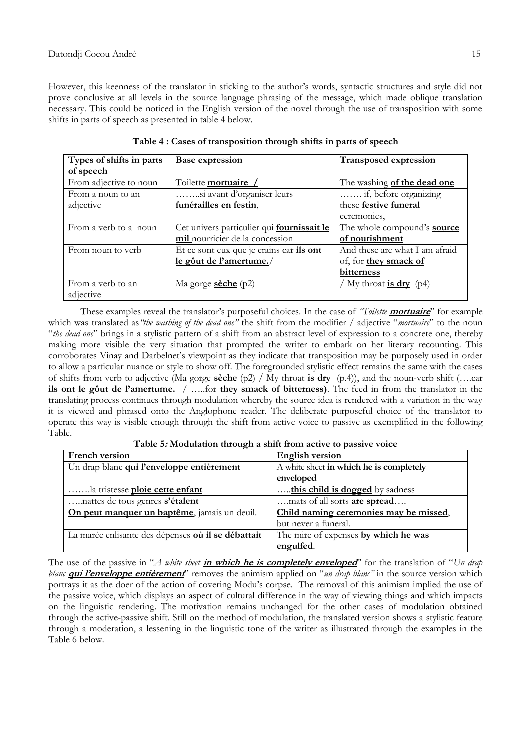However, this keenness of the translator in sticking to the author's words, syntactic structures and style did not prove conclusive at all levels in the source language phrasing of the message, which made oblique translation necessary. This could be noticed in the English version of the novel through the use of transposition with some shifts in parts of speech as presented in table 4 below.

| Types of shifts in parts | <b>Base expression</b>                            | <b>Transposed expression</b>       |
|--------------------------|---------------------------------------------------|------------------------------------|
| of speech                |                                                   |                                    |
| From adjective to noun   | Toilette mortuaire                                | The washing of the dead one        |
| From a noun to an        | si avant d'organiser leurs                        | if, before organizing              |
| adjective                | funérailles en festin,                            | these festive funeral              |
|                          |                                                   | ceremonies.                        |
| From a verb to a noun    | Cet univers particulier qui <b>fournissait le</b> | The whole compound's <b>source</b> |
|                          | mil nourricier de la concession                   | of nourishment                     |
| From noun to verb        | Et ce sont eux que je crains car <i>ils</i> ont   | And these are what I am afraid     |
|                          | le gôut de l'amertume./                           | of, for they smack of              |
|                          |                                                   | bitterness                         |
| From a verb to an        | Ma gorge $\frac{\text{seche}}{\text{p2}}$         | My throat is $\text{dry } (p4)$    |
| adjective                |                                                   |                                    |

**Table 4 : Cases of transposition through shifts in parts of speech**

These examples reveal the translator's purposeful choices. In the case of "Toilette **mortuaire**" for example which was translated as*"the washing of the dead one"* the shift from the modifier / adjective "*mortuaire*" to the noun "*the dead one*" brings in a stylistic pattern of a shift from an abstract level of expression to a concrete one, thereby making more visible the very situation that prompted the writer to embark on her literary recounting. This corroborates Vinay and Darbelnet's viewpoint as they indicate that transposition may be purposely used in order to allow a particular nuance or style to show off. The foregrounded stylistic effect remains the same with the cases of shifts from verb to adjective (Ma gorge **sèche** (p2) / My throat **is dry** (p.4)), and the noun-verb shift (….car **ils ont le gôut de l'amertume.** / …..for **they smack of bitterness)**. The feed in from the translator in the translating process continues through modulation whereby the source idea is rendered with a variation in the way it is viewed and phrased onto the Anglophone reader. The deliberate purposeful choice of the translator to operate this way is visible enough through the shift from active voice to passive as exemplified in the following Table.

| French version                                     | <b>English version</b>                  |  |
|----------------------------------------------------|-----------------------------------------|--|
| Un drap blanc qui l'enveloppe entièrement          | A white sheet in which he is completely |  |
|                                                    | enveloped                               |  |
| la tristesse ploie cette enfant                    | this child is dogged by sadness         |  |
| nattes de tous genres s'étalent                    | mats of all sorts <b>are spread</b>     |  |
| On peut manquer un baptême, jamais un deuil.       | Child naming ceremonies may be missed,  |  |
|                                                    | but never a funeral.                    |  |
| La marée enlisante des dépenses où il se débattait | The mire of expenses by which he was    |  |
|                                                    | engulfed.                               |  |

**Table 5: Modulation through a shift from active to passive voice**

The use of the passive in "*A white sheet* **in which he is completely enveloped**" for the translation of "*Un drap blanc* **qui l'enveloppe entièrement**" removes the animism applied on "*un drap blanc"* in the source version which portrays it as the doer of the action of covering Modu"s corpse. The removal of this animism implied the use of the passive voice, which displays an aspect of cultural difference in the way of viewing things and which impacts on the linguistic rendering. The motivation remains unchanged for the other cases of modulation obtained through the active-passive shift. Still on the method of modulation, the translated version shows a stylistic feature through a moderation, a lessening in the linguistic tone of the writer as illustrated through the examples in the Table 6 below.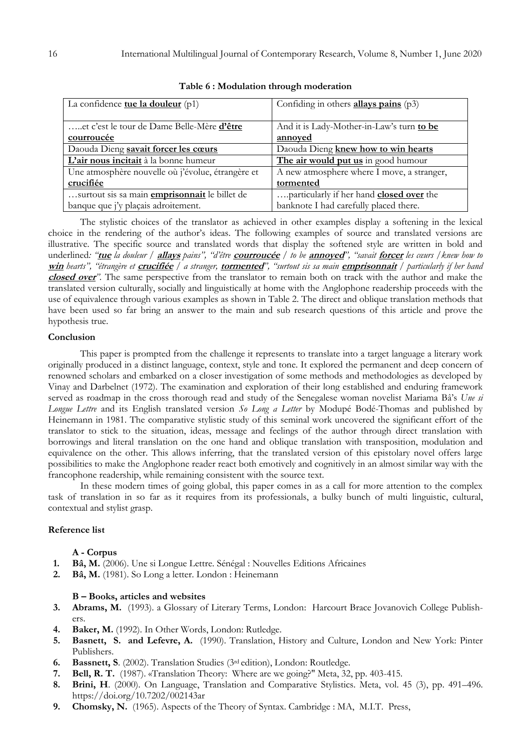| La confidence <b>tue la douleur</b> $(p1)$           | Confiding in others allays pains $(p3)$    |  |
|------------------------------------------------------|--------------------------------------------|--|
|                                                      |                                            |  |
| et c'est le tour de Dame Belle-Mère d'être           | And it is Lady-Mother-in-Law's turn to be  |  |
| courroucée                                           | annoved                                    |  |
| Daouda Dieng savait forcer les cœurs                 | Daouda Dieng knew how to win hearts        |  |
| L'air nous incitait à la bonne humeur                | The air would put us in good humour        |  |
| Une atmosphère nouvelle où j'évolue, étrangère et    | A new atmosphere where I move, a stranger, |  |
| crucifiée                                            | tormented                                  |  |
| surtout sis sa main <i>emprisonnait</i> le billet de | particularly if her hand closed over the   |  |
| banque que j'y plaçais adroitement.                  | banknote I had carefully placed there.     |  |

|  |  | Table 6: Modulation through moderation |  |  |
|--|--|----------------------------------------|--|--|
|--|--|----------------------------------------|--|--|

The stylistic choices of the translator as achieved in other examples display a softening in the lexical choice in the rendering of the author"s ideas. The following examples of source and translated versions are illustrative. The specific source and translated words that display the softened style are written in bold and underlined*: "***tue** *la douleur /* **allays** *pains", "d'être* **courroucée** */ to be* **annoyed***", "savait* **forcer** *les cœurs /knew how to*  **win** *hearts", "étrangère et* **crucifiée** */ a stranger,* **tormented***", "surtout sis sa main* **emprisonnait** */ particularly if her hand*  **closed over***".* The same perspective from the translator to remain both on track with the author and make the translated version culturally, socially and linguistically at home with the Anglophone readership proceeds with the use of equivalence through various examples as shown in Table 2. The direct and oblique translation methods that have been used so far bring an answer to the main and sub research questions of this article and prove the hypothesis true.

#### **Conclusion**

This paper is prompted from the challenge it represents to translate into a target language a literary work originally produced in a distinct language, context, style and tone. It explored the permanent and deep concern of renowned scholars and embarked on a closer investigation of some methods and methodologies as developed by Vinay and Darbelnet (1972). The examination and exploration of their long established and enduring framework served as roadmap in the cross thorough read and study of the Senegalese woman novelist Mariama Bâ"s *Une si Longue Lettre* and its English translated version *So Long a Letter* by Modupé Bodé-Thomas and published by Heinemann in 1981. The comparative stylistic study of this seminal work uncovered the significant effort of the translator to stick to the situation, ideas, message and feelings of the author through direct translation with borrowings and literal translation on the one hand and oblique translation with transposition, modulation and equivalence on the other. This allows inferring, that the translated version of this epistolary novel offers large possibilities to make the Anglophone reader react both emotively and cognitively in an almost similar way with the francophone readership, while remaining consistent with the source text.

In these modern times of going global, this paper comes in as a call for more attention to the complex task of translation in so far as it requires from its professionals, a bulky bunch of multi linguistic, cultural, contextual and stylist grasp.

#### **Reference list**

#### **A - Corpus**

- **1. Bâ, M.** (2006). Une si Longue Lettre. Sénégal : Nouvelles Editions Africaines
- **2. Bâ, M.** (1981). So Long a letter. London : Heinemann

## **B – Books, articles and websites**

- **3. Abrams, M.** (1993). a Glossary of Literary Terms, London: Harcourt Brace Jovanovich College Publishers.
- **4. Baker, M.** (1992). In Other Words, London: Rutledge.
- **5. Basnett, S. and Lefevre, A.** (1990). Translation, History and Culture, London and New York: Pinter Publishers.
- **6. Bassnett, S**. (2002). Translation Studies (3rd edition), London: Routledge.
- **7. Bell, R. T.** (1987). «Translation Theory: Where are we going?" Meta, 32, pp. 403-415.
- **8. Brini, H**. (2000). On Language, Translation and Comparative Stylistics. Meta, vol. 45 (3), pp. 491–496. <https://doi.org/10.7202/002143ar>
- **9. Chomsky, N.** (1965). Aspects of the Theory of Syntax. Cambridge : MA, M.I.T. Press,